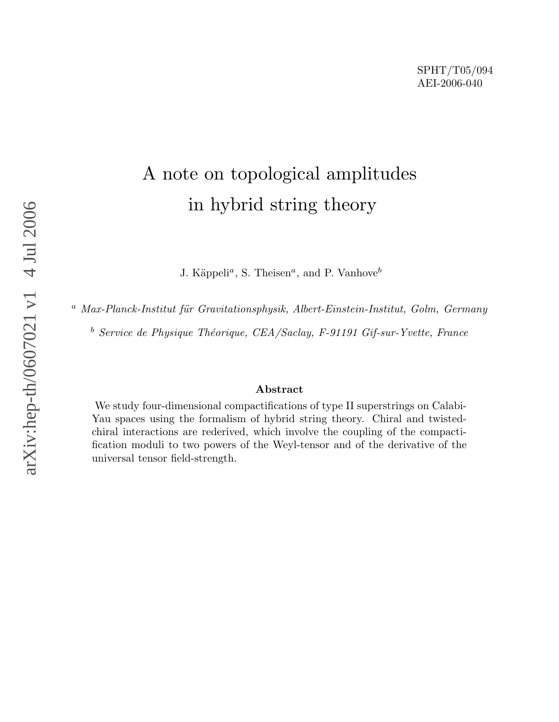# A note on topological amplitudes in hybrid string theory

J. Käppeli<sup>*a*</sup>, S. Theisen<sup>*a*</sup>, and P. Vanhove<sup>*b*</sup>

 $a$  Max-Planck-Institut für Gravitationsphysik, Albert-Einstein-Institut, Golm, Germany

 $b$  Service de Physique Théorique, CEA/Saclay, F-91191 Gif-sur-Yvette, France

#### Abstract

We study four-dimensional compactifications of type II superstrings on Calabi-Yau spaces using the formalism of hybrid string theory. Chiral and twistedchiral interactions are rederived, which involve the coupling of the compactification moduli to two powers of the Weyl-tensor and of the derivative of the universal tensor field-strength.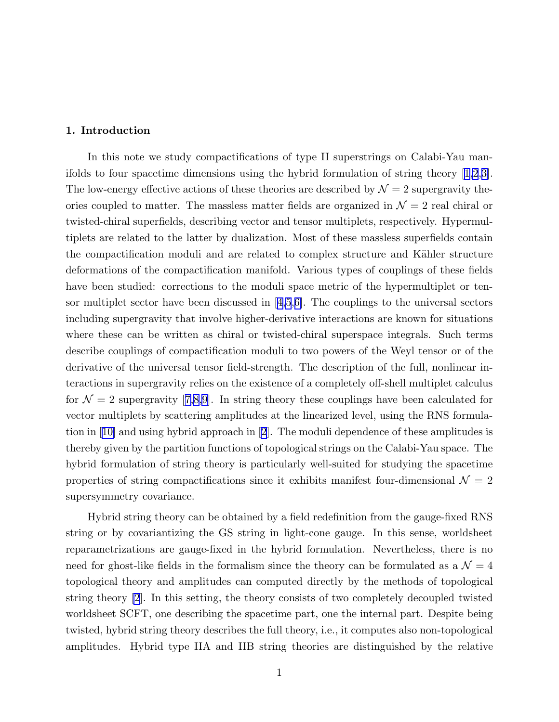## 1. Introduction

In this note we study compactifications of type II superstrings on Calabi-Yau manifolds to four spacetime dimensions using the hybrid formulation of string theory[[1,2](#page-16-0),[3\]](#page-16-0). The low-energy effective actions of these theories are described by  $\mathcal{N}=2$  supergravity theories coupled to matter. The massless matter fields are organized in  $\mathcal{N}=2$  real chiral or twisted-chiral superfields, describing vector and tensor multiplets, respectively. Hypermultiplets are related to the latter by dualization. Most of these massless superfields contain the compactification moduli and are related to complex structure and Kähler structure deformations of the compactification manifold. Various types of couplings of these fields have been studied: corrections to the moduli space metric of the hypermultiplet or tensor multiplet sector have been discussed in[[4,5](#page-16-0),[6\]](#page-16-0). The couplings to the universal sectors including supergravity that involve higher-derivative interactions are known for situations where these can be written as chiral or twisted-chiral superspace integrals. Such terms describe couplings of compactification moduli to two powers of the Weyl tensor or of the derivative of the universal tensor field-strength. The description of the full, nonlinear interactions in supergravity relies on the existence of a completely off-shell multiplet calculus for $\mathcal{N} = 2$  supergravity [[7,8,9](#page-16-0)]. In string theory these couplings have been calculated for vector multiplets by scattering amplitudes at the linearized level, using the RNS formulation in[[10\]](#page-16-0) and using hybrid approach in [\[2](#page-16-0)]. The moduli dependence of these amplitudes is thereby given by the partition functions of topological strings on the Calabi-Yau space. The hybrid formulation of string theory is particularly well-suited for studying the spacetime properties of string compactifications since it exhibits manifest four-dimensional  $\mathcal{N} = 2$ supersymmetry covariance.

Hybrid string theory can be obtained by a field redefinition from the gauge-fixed RNS string or by covariantizing the GS string in light-cone gauge. In this sense, worldsheet reparametrizations are gauge-fixed in the hybrid formulation. Nevertheless, there is no need for ghost-like fields in the formalism since the theory can be formulated as a  $\mathcal{N}=4$ topological theory and amplitudes can computed directly by the methods of topological string theory [\[2](#page-16-0)]. In this setting, the theory consists of two completely decoupled twisted worldsheet SCFT, one describing the spacetime part, one the internal part. Despite being twisted, hybrid string theory describes the full theory, i.e., it computes also non-topological amplitudes. Hybrid type IIA and IIB string theories are distinguished by the relative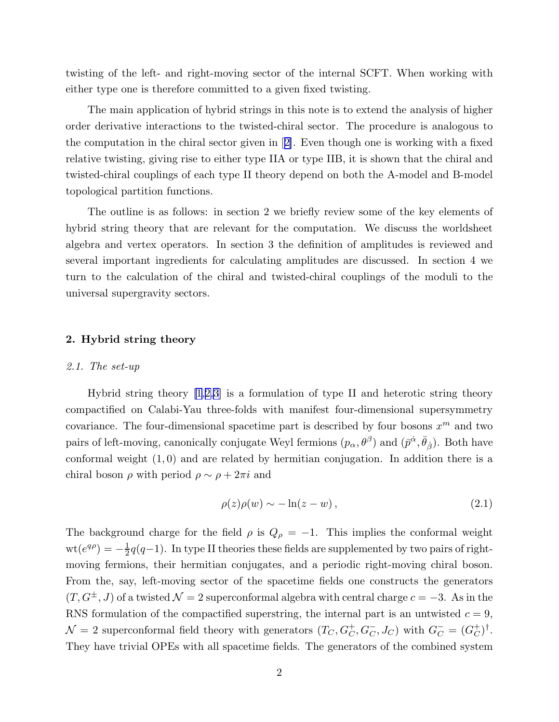twisting of the left- and right-moving sector of the internal SCFT. When working with either type one is therefore committed to a given fixed twisting.

The main application of hybrid strings in this note is to extend the analysis of higher order derivative interactions to the twisted-chiral sector. The procedure is analogous to the computation in the chiral sector given in[[2\]](#page-16-0). Even though one is working with a fixed relative twisting, giving rise to either type IIA or type IIB, it is shown that the chiral and twisted-chiral couplings of each type II theory depend on both the A-model and B-model topological partition functions.

The outline is as follows: in section 2 we briefly review some of the key elements of hybrid string theory that are relevant for the computation. We discuss the worldsheet algebra and vertex operators. In section 3 the definition of amplitudes is reviewed and several important ingredients for calculating amplitudes are discussed. In section 4 we turn to the calculation of the chiral and twisted-chiral couplings of the moduli to the universal supergravity sectors.

#### 2. Hybrid string theory

#### 2.1. The set-up

Hybrid string theory [\[1](#page-16-0),[2,3\]](#page-16-0) is a formulation of type II and heterotic string theory compactified on Calabi-Yau three-folds with manifest four-dimensional supersymmetry covariance. The four-dimensional spacetime part is described by four bosons  $x^m$  and two pairs of left-moving, canonically conjugate Weyl fermions  $(p_\alpha, \theta^\beta)$  and  $(\bar{p}^{\dot{\alpha}}, \bar{\theta}_{\dot{\beta}})$ . Both have conformal weight  $(1,0)$  and are related by hermitian conjugation. In addition there is a chiral boson  $\rho$  with period  $\rho \sim \rho + 2\pi i$  and

$$
\rho(z)\rho(w) \sim -\ln(z - w),\tag{2.1}
$$

The background charge for the field  $\rho$  is  $Q_{\rho} = -1$ . This implies the conformal weight  $\mathrm{wt}(e^{q\rho})=-\frac{1}{2}$  $\frac{1}{2}q(q-1)$ . In type II theories these fields are supplemented by two pairs of rightmoving fermions, their hermitian conjugates, and a periodic right-moving chiral boson. From the, say, left-moving sector of the spacetime fields one constructs the generators  $(T, G^{\pm}, J)$  of a twisted  $\mathcal{N} = 2$  superconformal algebra with central charge  $c = -3$ . As in the RNS formulation of the compactified superstring, the internal part is an untwisted  $c = 9$ ,  $\mathcal{N}=2$  superconformal field theory with generators  $(T_C, G_C^+, G_C^-, J_C)$  with  $G_C^- = (G_C^+)$  $\bigcirc^{\dagger}$ )<sup>†</sup>. They have trivial OPEs with all spacetime fields. The generators of the combined system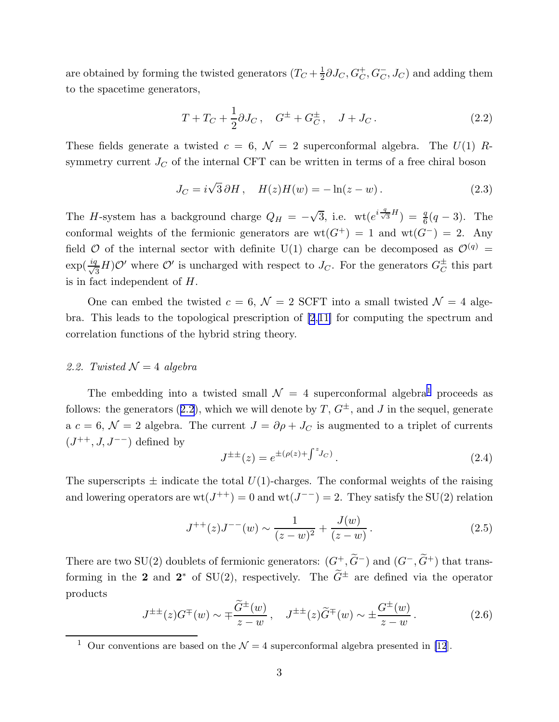<span id="page-3-0"></span>are obtained by forming the twisted generators  $(T_C + \frac{1}{2})$  $\frac{1}{2}\partial J_C, G_C^+, G_C^-, J_C)$  and adding them to the spacetime generators,

$$
T + T_C + \frac{1}{2}\partial J_C, \quad G^{\pm} + G^{\pm}_C, \quad J + J_C.
$$
 (2.2)

These fields generate a twisted  $c = 6$ ,  $\mathcal{N} = 2$  superconformal algebra. The  $U(1)$  Rsymmetry current  $J_C$  of the internal CFT can be written in terms of a free chiral boson

$$
J_C = i\sqrt{3}\,\partial H\,,\quad H(z)H(w) = -\ln(z - w)\,.
$$

The *H*-system has a background charge  $Q_H = -\sqrt{3}$ , i.e. wt $(e^{i\frac{q}{\sqrt{3}}H}) = \frac{q}{6}(q-3)$ . The conformal weights of the fermionic generators are  $wt(G^+) = 1$  and  $wt(G^-) = 2$ . Any field  $\mathcal O$  of the internal sector with definite U(1) charge can be decomposed as  $\mathcal O^{(q)}$  =  $\exp(\frac{iq}{\sqrt{q}})$  $\frac{d}{d}H$ ) $\mathcal{O}'$  where  $\mathcal{O}'$  is uncharged with respect to  $J_C$ . For the generators  $G_C^{\pm}$  this part is in fact independent of H.

One can embed the twisted  $c = 6$ ,  $\mathcal{N} = 2$  SCFT into a small twisted  $\mathcal{N} = 4$  algebra. This leads to the topological prescription of [\[2](#page-16-0),[11\]](#page-16-0) for computing the spectrum and correlation functions of the hybrid string theory.

#### 2.2. Twisted  $\mathcal{N}=4$  algebra

The embedding into a twisted small  $\mathcal{N} = 4$  superconformal algebra<sup>1</sup> proceeds as follows: the generators (2.2), which we will denote by  $T, G^{\pm}$ , and J in the sequel, generate a  $c = 6$ ,  $\mathcal{N} = 2$  algebra. The current  $J = \partial \rho + J_C$  is augmented to a triplet of currents  $(J^{++}, J, J^{--})$  defined by

$$
J^{\pm \pm}(z) = e^{\pm (\rho(z) + \int^z J_C)}.
$$
\n(2.4)

The superscripts  $\pm$  indicate the total  $U(1)$ -charges. The conformal weights of the raising and lowering operators are  $wt(J^{++})=0$  and  $wt(J^{--})=2$ . They satisfy the SU(2) relation

$$
J^{++}(z)J^{--}(w) \sim \frac{1}{(z-w)^2} + \frac{J(w)}{(z-w)}.
$$
\n(2.5)

There are two SU(2) doublets of fermionic generators:  $(G^+, \widetilde{G}^-)$  and  $(G^-, \widetilde{G}^+)$  that transforming in the 2 and  $2^*$  of SU(2), respectively. The  $G^{\pm}$  are defined via the operator products

$$
J^{\pm \pm}(z)G^{\mp}(w) \sim \mp \frac{\widetilde{G}^{\pm}(w)}{z-w}, \quad J^{\pm \pm}(z)\widetilde{G}^{\mp}(w) \sim \pm \frac{G^{\pm}(w)}{z-w}.
$$
 (2.6)

<sup>&</sup>lt;sup>1</sup> Our conventions are based on the  $\mathcal{N} = 4$  superconformal algebra presented in [\[12](#page-16-0)].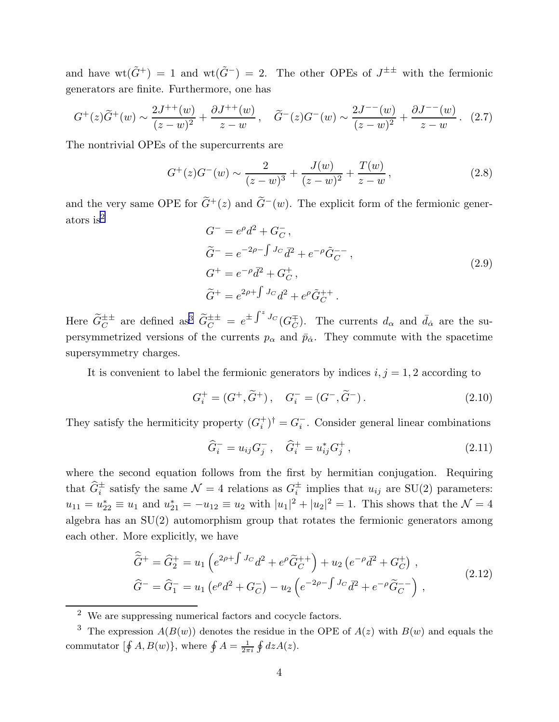<span id="page-4-0"></span>and have  $wt(\tilde{G}^+) = 1$  and  $wt(\tilde{G}^-) = 2$ . The other OPEs of  $J^{\pm \pm}$  with the fermionic generators are finite. Furthermore, one has

$$
G^{+}(z)\tilde{G}^{+}(w) \sim \frac{2J^{++}(w)}{(z-w)^2} + \frac{\partial J^{++}(w)}{z-w}, \quad \tilde{G}^{-}(z)G^{-}(w) \sim \frac{2J^{--}(w)}{(z-w)^2} + \frac{\partial J^{--}(w)}{z-w}. \quad (2.7)
$$

The nontrivial OPEs of the supercurrents are

$$
G^{+}(z)G^{-}(w) \sim \frac{2}{(z-w)^{3}} + \frac{J(w)}{(z-w)^{2}} + \frac{T(w)}{z-w},
$$
\n(2.8)

and the very same OPE for  $\tilde{G}^+(z)$  and  $\tilde{G}^-(w)$ . The explicit form of the fermionic generators is<sup>2</sup>

$$
G^{-} = e^{\rho} d^{2} + G_{C}^{-},
$$
  
\n
$$
\tilde{G}^{-} = e^{-2\rho - \int J_C} \bar{d}^{2} + e^{-\rho} \tilde{G}_{C}^{-} ,
$$
  
\n
$$
G^{+} = e^{-\rho} \bar{d}^{2} + G_{C}^{+},
$$
  
\n
$$
\tilde{G}^{+} = e^{2\rho + \int J_C} d^{2} + e^{\rho} \tilde{G}_{C}^{++} .
$$
\n(2.9)

Here  $\tilde{G}_C^{\pm\pm}$  are defined as<sup>3</sup>  $\tilde{G}_C^{\pm\pm} = e^{\pm \int^z J_C(G_C^{\mp})$ . The currents  $d_{\alpha}$  and  $\bar{d}_{\dot{\alpha}}$  are the supersymmetrized versions of the currents  $p_{\alpha}$  and  $\bar{p}_{\dot{\alpha}}$ . They commute with the spacetime supersymmetry charges.

It is convenient to label the fermionic generators by indices  $i, j = 1, 2$  according to

$$
G_i^+ = (G^+, \tilde{G}^+), \quad G_i^- = (G^-, \tilde{G}^-). \tag{2.10}
$$

They satisfy the hermiticity property  $(G_i^+)$  $j_i^+$ <sup>+</sup> =  $G_i^-$ . Consider general linear combinations

$$
\hat{G}_i^- = u_{ij} G_j^-, \quad \hat{G}_i^+ = u_{ij}^* G_j^+, \tag{2.11}
$$

where the second equation follows from the first by hermitian conjugation. Requiring that  $G_i^{\pm}$  satisfy the same  $\mathcal{N} = 4$  relations as  $G_i^{\pm}$  implies that  $u_{ij}$  are SU(2) parameters:  $u_{11} = u_{22}^* \equiv u_1$  and  $u_{21}^* = -u_{12} \equiv u_2$  with  $|u_1|^2 + |u_2|^2 = 1$ . This shows that the  $\mathcal{N} = 4$ algebra has an SU(2) automorphism group that rotates the fermionic generators among each other. More explicitly, we have

$$
\hat{\tilde{G}}^{+} = \hat{G}_{2}^{+} = u_{1} \left( e^{2\rho + \int J_{C} d^{2} + e^{\rho} \tilde{G}_{C}^{++} \right) + u_{2} \left( e^{-\rho} \bar{d}^{2} + G_{C}^{+} \right) ,
$$
\n
$$
\hat{G}^{-} = \hat{G}_{1}^{-} = u_{1} \left( e^{\rho} d^{2} + G_{C}^{-} \right) - u_{2} \left( e^{-2\rho - \int J_{C} d^{2} + e^{-\rho} \tilde{G}_{C}^{-} \right) ,
$$
\n(2.12)

<sup>2</sup> We are suppressing numerical factors and cocycle factors.

<sup>&</sup>lt;sup>3</sup> The expression  $A(B(w))$  denotes the residue in the OPE of  $A(z)$  with  $B(w)$  and equals the commutator  $[\oint A, B(w)],$  where  $\oint A = \frac{1}{2\pi i} \oint dz A(z).$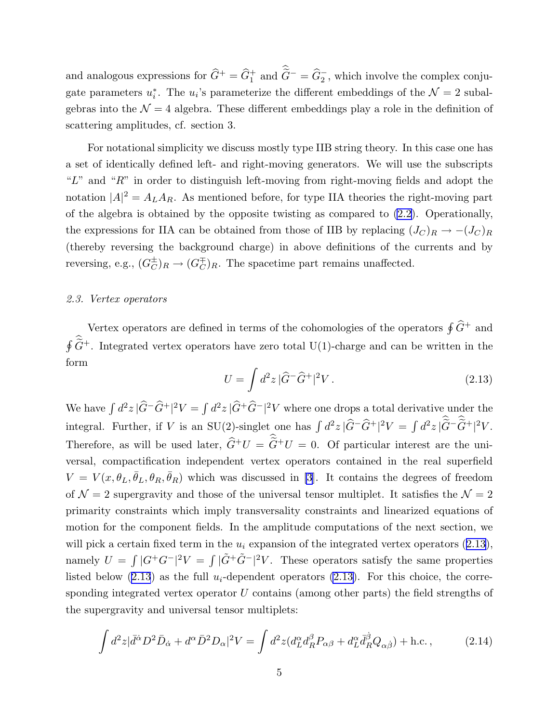<span id="page-5-0"></span>and analogous expressions for  $\hat{G}^+ = \hat{G}_1^+$  and  $\tilde{G}^- = \hat{G}_2^-$ , which involve the complex conjugate parameters  $u_i^*$ . The  $u_i$ 's parameterize the different embeddings of the  $\mathcal{N}=2$  subalgebras into the  $\mathcal{N} = 4$  algebra. These different embeddings play a role in the definition of scattering amplitudes, cf. section 3.

For notational simplicity we discuss mostly type IIB string theory. In this case one has a set of identically defined left- and right-moving generators. We will use the subscripts " $L$ " and " $R$ " in order to distinguish left-moving from right-moving fields and adopt the notation  $|A|^2 = A_L A_R$ . As mentioned before, for type IIA theories the right-moving part of the algebra is obtained by the opposite twisting as compared to [\(2.2\)](#page-3-0). Operationally, the expressions for IIA can be obtained from those of IIB by replacing  $(J_C)_R \to -(J_C)_R$ (thereby reversing the background charge) in above definitions of the currents and by reversing, e.g.,  $(G_C^{\pm})_R \to (G_C^{\mp})_R$ . The spacetime part remains unaffected.

#### 2.3. Vertex operators

Vertex operators are defined in terms of the cohomologies of the operators  $\oint \widehat{G}^+$  and  $\oint \widetilde{G}^+$ . Integrated vertex operators have zero total U(1)-charge and can be written in the form

$$
U = \int d^2z \, |\widehat{G}^- \widehat{G}^+|^2 V \,. \tag{2.13}
$$

We have  $\int d^2z |\widehat{G}^-\widehat{G}^+|^2V = \int d^2z |\widehat{G}^+\widehat{G}^-|^2V$  where one drops a total derivative under the integral. Further, if V is an SU(2)-singlet one has  $\int d^2 z |\widehat{G} - \widehat{G}^+|^2 V = \int d^2 z |\widetilde{G} - \widetilde{G}^+|^2 V$ . Therefore, as will be used later,  $\hat{G}^+U = \hat{G}^+U = 0$ . Of particular interest are the universal, compactification independent vertex operators contained in the real superfield  $V = V(x, \theta_L, \bar{\theta}_L, \theta_R, \bar{\theta}_R)$  which was discussed in [\[3](#page-16-0)]. It contains the degrees of freedom of  $\mathcal{N}=2$  supergravity and those of the universal tensor multiplet. It satisfies the  $\mathcal{N}=2$ primarity constraints which imply transversality constraints and linearized equations of motion for the component fields. In the amplitude computations of the next section, we will pick a certain fixed term in the  $u_i$  expansion of the integrated vertex operators  $(2.13)$ , namely  $U = \int |G^+G^-|^2 V = \int |\tilde{G}^+\tilde{G}^-|^2 V$ . These operators satisfy the same properties listed below  $(2.13)$  as the full  $u_i$ -dependent operators  $(2.13)$ . For this choice, the corresponding integrated vertex operator U contains (among other parts) the field strengths of the supergravity and universal tensor multiplets:

$$
\int d^2z |\bar{d}^{\dot{\alpha}} D^2 \bar{D}_{\dot{\alpha}} + d^{\alpha} \bar{D}^2 D_{\alpha}|^2 V = \int d^2z (d_L^{\alpha} d_R^{\beta} P_{\alpha\beta} + d_L^{\alpha} \bar{d}_R^{\dot{\beta}} Q_{\alpha\dot{\beta}}) + \text{h.c.} \,, \tag{2.14}
$$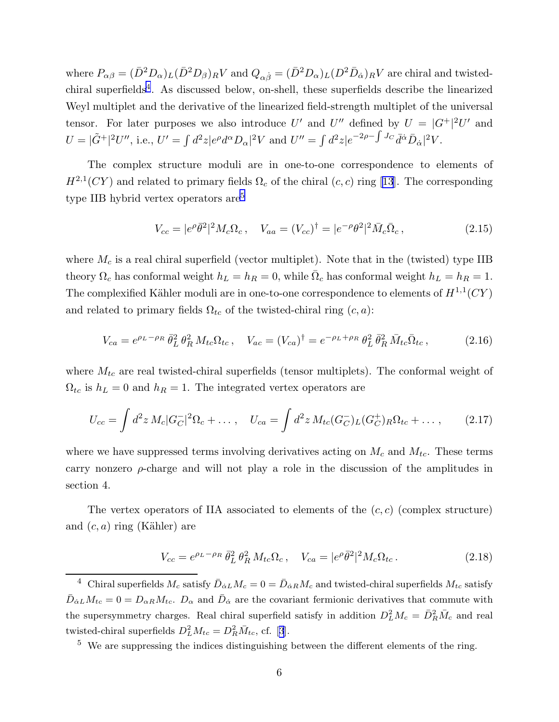<span id="page-6-0"></span>where  $P_{\alpha\beta} = (\bar{D}^2 D_\alpha)_L (\bar{D}^2 D_\beta)_R V$  and  $Q_{\alpha\dot{\beta}} = (\bar{D}^2 D_\alpha)_L (D^2 \bar{D}_\alpha)_R V$  are chiral and twistedchiral superfields<sup>4</sup>. As discussed below, on-shell, these superfields describe the linearized Weyl multiplet and the derivative of the linearized field-strength multiplet of the universal tensor. For later purposes we also introduce U' and U'' defined by  $U = |G^+|^2 U'$  and  $U = |\tilde{G}^+|^2 U''$ , i.e.,  $U' = \int d^2z |e^{\rho} d^{\alpha} D_{\alpha}|^2 V$  and  $U'' = \int d^2z |e^{-2\rho - \int J_C} \bar{d}^{\dot{\alpha}} \bar{D}_{\dot{\alpha}}|^2 V$ .

The complex structure moduli are in one-to-one correspondence to elements of  $H^{2,1}(CY)$  and related to primary fields  $\Omega_c$  of the chiral  $(c, c)$  ring [\[13](#page-16-0)]. The corresponding type IIB hybrid vertex operators are<sup>5</sup>

$$
V_{cc} = |e^{\rho} \bar{\theta}^2|^2 M_c \Omega_c, \quad V_{aa} = (V_{cc})^{\dagger} = |e^{-\rho} \theta^2|^2 \bar{M}_c \bar{\Omega}_c,
$$
\n(2.15)

where  $M_c$  is a real chiral superfield (vector multiplet). Note that in the (twisted) type IIB theory  $\Omega_c$  has conformal weight  $h_L = h_R = 0$ , while  $\overline{\Omega}_c$  has conformal weight  $h_L = h_R = 1$ . The complexified Kähler moduli are in one-to-one correspondence to elements of  $H^{1,1}(CY)$ and related to primary fields  $\Omega_{tc}$  of the twisted-chiral ring  $(c, a)$ :

$$
V_{ca} = e^{\rho_L - \rho_R} \bar{\theta}_L^2 \theta_R^2 M_{tc} \Omega_{tc}, \quad V_{ac} = (V_{ca})^{\dagger} = e^{-\rho_L + \rho_R} \theta_L^2 \bar{\theta}_R^2 \bar{M}_{tc} \bar{\Omega}_{tc}, \tag{2.16}
$$

where  $M_{tc}$  are real twisted-chiral superfields (tensor multiplets). The conformal weight of  $\Omega_{tc}$  is  $h_L = 0$  and  $h_R = 1$ . The integrated vertex operators are

$$
U_{cc} = \int d^2 z \, M_c |G_C^{-}|^2 \Omega_c + \dots, \quad U_{ca} = \int d^2 z \, M_{tc} (G_C^{-})_L (G_C^{+})_R \Omega_{tc} + \dots, \tag{2.17}
$$

where we have suppressed terms involving derivatives acting on  $M_c$  and  $M_{tc}$ . These terms carry nonzero  $\rho$ -charge and will not play a role in the discussion of the amplitudes in section 4.

The vertex operators of IIA associated to elements of the  $(c, c)$  (complex structure) and  $(c, a)$  ring (Kähler) are

$$
V_{cc} = e^{\rho_L - \rho_R} \bar{\theta}_L^2 \theta_R^2 M_{tc} \Omega_c, \quad V_{ca} = |e^{\rho} \bar{\theta}^2|^2 M_c \Omega_{tc}.
$$
 (2.18)

<sup>&</sup>lt;sup>4</sup> Chiral superfields  $M_c$  satisfy  $\bar{D}_{\dot{\alpha}L}M_c = 0 = \bar{D}_{\dot{\alpha}R}M_c$  and twisted-chiral superfields  $M_{tc}$  satisfy  $\bar{D}_{\dot{\alpha}L}M_{tc} = 0 = D_{\alpha R}M_{tc}$ .  $D_{\alpha}$  and  $\bar{D}_{\dot{\alpha}}$  are the covariant fermionic derivatives that commute with the supersymmetry charges. Real chiral superfield satisfy in addition  $D_L^2 M_c = \bar{D}_R^2 \bar{M}_c$  and real twisted-chiralsuperfields  $D_L^2 M_{tc} = D_R^2 \bar{M}_{tc}$ , cf. [[3](#page-16-0)].

<sup>&</sup>lt;sup>5</sup> We are suppressing the indices distinguishing between the different elements of the ring.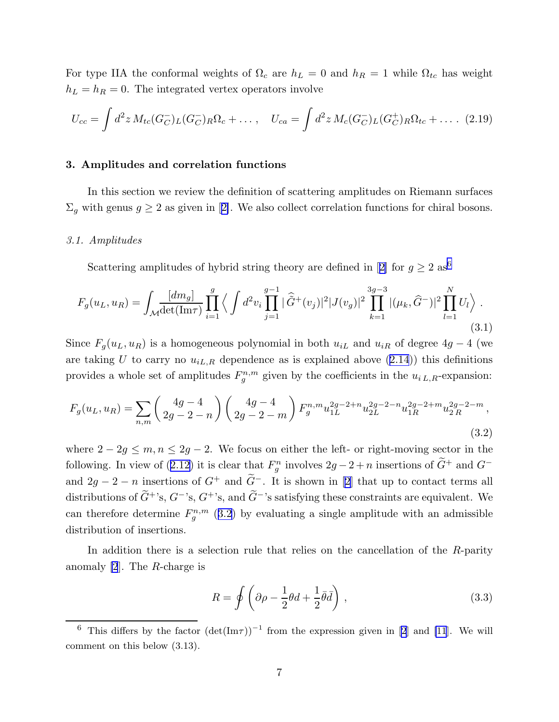<span id="page-7-0"></span>For type IIA the conformal weights of  $\Omega_c$  are  $h_L = 0$  and  $h_R = 1$  while  $\Omega_{tc}$  has weight  $h_L = h_R = 0$ . The integrated vertex operators involve

$$
U_{cc} = \int d^2 z \, M_{tc}(G_C^-)_L(G_C^-)_R \Omega_c + \dots, \quad U_{ca} = \int d^2 z \, M_c(G_C^-)_L(G_C^+)_R \Omega_{tc} + \dots \quad (2.19)
$$

#### 3. Amplitudes and correlation functions

In this section we review the definition of scattering amplitudes on Riemann surfaces  $\Sigma_g$ with genus  $g \geq 2$  as given in [[2\]](#page-16-0). We also collect correlation functions for chiral bosons.

#### 3.1. Amplitudes

Scattering amplitudes of hybrid string theory are defined in [[2\]](#page-16-0) for  $g \geq 2$  as<sup>6</sup>

$$
F_g(u_L, u_R) = \int_{\mathcal{M}} \frac{[dm_g]}{\det(\text{Im}\tau)} \prod_{i=1}^g \left\langle \int d^2v_i \prod_{j=1}^{g-1} |\hat{G}^+(v_j)|^2 |J(v_g)|^2 \prod_{k=1}^{3g-3} |(\mu_k, \hat{G}^-)|^2 \prod_{l=1}^N U_l \right\rangle.
$$
\n(3.1)

Since  $F_g(u_L, u_R)$  is a homogeneous polynomial in both  $u_{iL}$  and  $u_{iR}$  of degree  $4g - 4$  (we are taking U to carry no  $u_{iL,R}$  dependence as is explained above  $(2.14)$  $(2.14)$  $(2.14)$ ) this definitions provides a whole set of amplitudes  $F_g^{n,m}$  given by the coefficients in the  $u_{i,L,R}$ -expansion:

$$
F_g(u_L, u_R) = \sum_{n,m} \begin{pmatrix} 4g - 4 \\ 2g - 2 - n \end{pmatrix} \begin{pmatrix} 4g - 4 \\ 2g - 2 - m \end{pmatrix} F_g^{n,m} u_{1L}^{2g - 2 + n} u_{2L}^{2g - 2 - n} u_{1R}^{2g - 2 + m} u_{2R}^{2g - 2 - m},
$$
\n(3.2)

where  $2 - 2g \le m, n \le 2g - 2$ . We focus on either the left- or right-moving sector in the following. In view of ([2.12\)](#page-4-0) it is clear that  $F_g^n$  involves  $2g - 2 + n$  insertions of  $G^+$  and  $G^-$ and $2g - 2 - n$  $2g - 2 - n$  insertions of  $G^+$  and  $\tilde{G}^-$ . It is shown in [2] that up to contact terms all distributions of  $\tilde{G}^{\dagger}$ 's,  $G^{-1}$ 's,  $G^{+}$ 's, and  $\tilde{G}^{-}$ 's satisfying these constraints are equivalent. We can therefore determine  $F_g^{n,m}$  (3.2) by evaluating a single amplitude with an admissible distribution of insertions.

In addition there is a selection rule that relies on the cancellation of the R-parity anomaly [\[2](#page-16-0)]. The R-charge is

$$
R = \oint \left( \partial \rho - \frac{1}{2} \theta d + \frac{1}{2} \bar{\theta} \bar{d} \right) , \qquad (3.3)
$$

<sup>&</sup>lt;sup>6</sup>This differs by the factor  $(\det(Im\tau))^{-1}$  from the expression given in [[2](#page-16-0)] and [\[11](#page-16-0)]. We will comment on this below (3.13).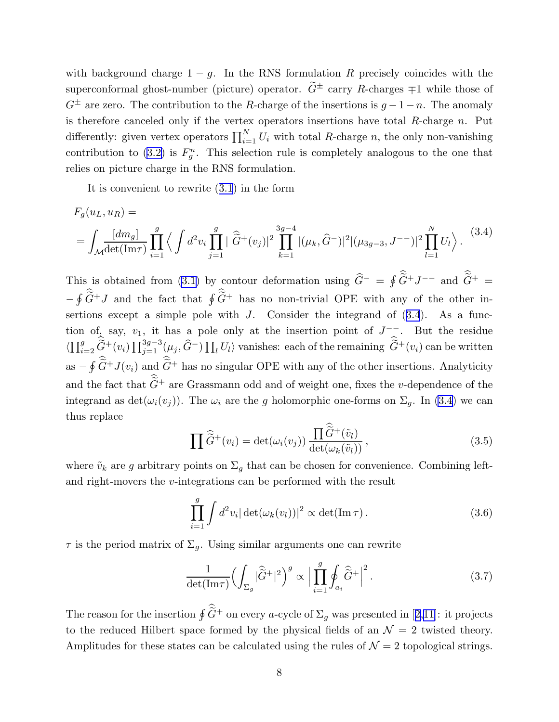with background charge  $1 - g$ . In the RNS formulation R precisely coincides with the superconformal ghost-number (picture) operator.  $\tilde{G}^{\pm}$  carry R-charges  $\mp 1$  while those of  $G^{\pm}$  are zero. The contribution to the R-charge of the insertions is  $g - 1 - n$ . The anomaly is therefore canceled only if the vertex operators insertions have total  $R$ -charge  $n$ . Put differently: given vertex operators  $\prod_{i=1}^{N} U_i$  with total R-charge n, the only non-vanishing contribution to [\(3.2\)](#page-7-0) is  $F_g^n$ . This selection rule is completely analogous to the one that relies on picture charge in the RNS formulation.

It is convenient to rewrite ([3.1](#page-7-0)) in the form

$$
F_g(u_L, u_R) =
$$
  
=  $\int_{\mathcal{M}} \frac{[dm_g]}{\det(\text{Im}\tau)} \prod_{i=1}^g \left\langle \int d^2v_i \prod_{j=1}^g |\widehat{\tilde{G}}^+(v_j)|^2 \prod_{k=1}^{3g-4} |(\mu_k, \widehat{G}^-)|^2 |(\mu_{3g-3}, J^{--})|^2 \prod_{l=1}^N U_l \right\rangle.$  (3.4)

This is obtained from [\(3.1\)](#page-7-0) by contour deformation using  $\hat{G}^- = \oint \tilde{G}^+ J^{--}$  and  $\tilde{G}^+ =$  $-\oint \widetilde{G}^+ J$  and the fact that  $\oint \widetilde{G}^+$  has no non-trivial OPE with any of the other insertions except a simple pole with  $J$ . Consider the integrand of  $(3.4)$ . As a function of, say,  $v_1$ , it has a pole only at the insertion point of  $J^{-}$ . But the residue  $\langle \prod_{i=2}^g \widetilde{G}^+(v_i) \prod_{j=1}^{3g-3} (\mu_j, \widehat{G}^-) \prod_l U_l \rangle$  vanishes: each of the remaining  $\widetilde{G}^+(v_i)$  can be written as  $-\oint \widetilde{G}^+J(v_i)$  and  $\widetilde{G}^+$  has no singular OPE with any of the other insertions. Analyticity and the fact that  $\tilde{G}^+$  are Grassmann odd and of weight one, fixes the v-dependence of the integrand as  $\det(\omega_i(v_j))$ . The  $\omega_i$  are the g holomorphic one-forms on  $\Sigma_g$ . In (3.4) we can thus replace

$$
\prod \widehat{\tilde{G}}^{+}(v_{i}) = \det(\omega_{i}(v_{j})) \frac{\prod \widehat{\tilde{G}}^{+}(\tilde{v}_{l})}{\det(\omega_{k}(\tilde{v}_{l}))},
$$
\n(3.5)

where  $\tilde{v}_k$  are g arbitrary points on  $\Sigma_g$  that can be chosen for convenience. Combining leftand right-movers the v-integrations can be performed with the result

$$
\prod_{i=1}^{g} \int d^2 v_i |\det(\omega_k(v_l))|^2 \propto \det(\text{Im}\,\tau).
$$
 (3.6)

 $\tau$  is the period matrix of  $\Sigma_q$ . Using similar arguments one can rewrite

$$
\frac{1}{\det(\mathrm{Im}\tau)} \Big(\int_{\Sigma_g} |\widehat{\tilde{G}}^+|^2\Big)^g \propto \Big|\prod_{i=1}^g \oint_{a_i} \widehat{\tilde{G}}^+\Big|^2. \tag{3.7}
$$

Thereason for the insertion  $\oint \hat{G}^+$  on every a-cycle of  $\Sigma_g$  was presented in [[2,11\]](#page-16-0): it projects to the reduced Hilbert space formed by the physical fields of an  $\mathcal{N}=2$  twisted theory. Amplitudes for these states can be calculated using the rules of  $\mathcal{N}=2$  topological strings.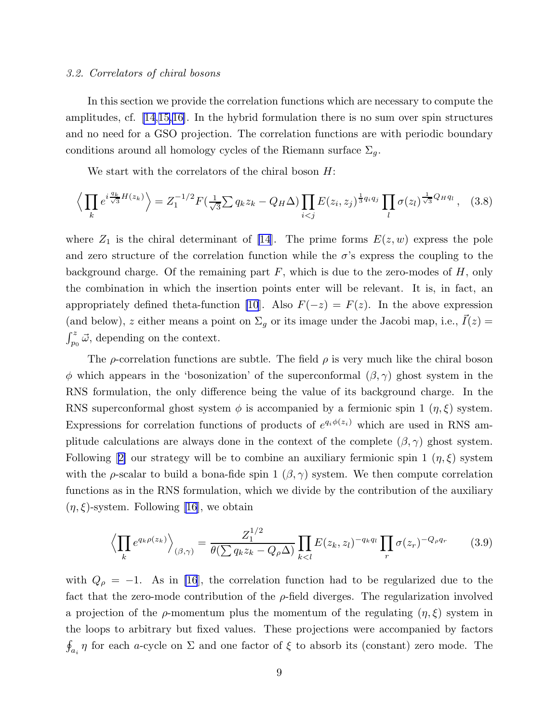#### <span id="page-9-0"></span>3.2. Correlators of chiral bosons

In this section we provide the correlation functions which are necessary to compute the amplitudes, cf. [\[14](#page-16-0),[15,](#page-16-0)[16\]](#page-17-0). In the hybrid formulation there is no sum over spin structures and no need for a GSO projection. The correlation functions are with periodic boundary conditions around all homology cycles of the Riemann surface  $\Sigma_g$ .

We start with the correlators of the chiral boson H:

$$
\left\langle \prod_{k} e^{i \frac{q_k}{\sqrt{3}} H(z_k)} \right\rangle = Z_1^{-1/2} F(\frac{1}{\sqrt{3}} \sum q_k z_k - Q_H \Delta) \prod_{i < j} E(z_i, z_j)^{\frac{1}{3} q_i q_j} \prod_l \sigma(z_l)^{\frac{1}{\sqrt{3}} Q_H q_l}, \quad (3.8)
$$

where  $Z_1$  is the chiral determinant of [\[14](#page-16-0)]. The prime forms  $E(z, w)$  express the pole and zero structure of the correlation function while the  $\sigma$ 's express the coupling to the background charge. Of the remaining part  $F$ , which is due to the zero-modes of  $H$ , only the combination in which the insertion points enter will be relevant. It is, in fact, an appropriately defined theta-function [\[10](#page-16-0)]. Also  $F(-z) = F(z)$ . In the above expression (and below), z either means a point on  $\Sigma_g$  or its image under the Jacobi map, i.e.,  $\vec{I}(z)$  =  $\int_{p_0}^{z} \vec{\omega}$ , depending on the context.

The  $\rho$ -correlation functions are subtle. The field  $\rho$  is very much like the chiral boson φ which appears in the 'bosonization' of the superconformal  $(β, γ)$  ghost system in the RNS formulation, the only difference being the value of its background charge. In the RNS superconformal ghost system  $\phi$  is accompanied by a fermionic spin 1  $(\eta, \xi)$  system. Expressions for correlation functions of products of  $e^{q_i\phi(z_i)}$  which are used in RNS amplitude calculations are always done in the context of the complete  $(\beta, \gamma)$  ghost system. Following[[2\]](#page-16-0) our strategy will be to combine an auxiliary fermionic spin 1  $(\eta, \xi)$  system with the  $\rho$ -scalar to build a bona-fide spin 1  $(\beta, \gamma)$  system. We then compute correlation functions as in the RNS formulation, which we divide by the contribution of the auxiliary  $(\eta, \xi)$  $(\eta, \xi)$  $(\eta, \xi)$ -system. Following [[16](#page-17-0)], we obtain

$$
\left\langle \prod_k e^{q_k \rho(z_k)} \right\rangle_{(\beta,\gamma)} = \frac{Z_1^{1/2}}{\theta(\sum q_k z_k - Q_\rho \Delta)} \prod_{k < l} E(z_k, z_l)^{-q_k q_l} \prod_r \sigma(z_r)^{-Q_\rho q_r} \tag{3.9}
$$

with  $Q_{\rho} = -1$ . As in [\[16](#page-17-0)], the correlation function had to be regularized due to the fact that the zero-mode contribution of the  $\rho$ -field diverges. The regularization involved a projection of the  $\rho$ -momentum plus the momentum of the regulating  $(\eta, \xi)$  system in the loops to arbitrary but fixed values. These projections were accompanied by factors  $\oint_{a_i} \eta$  for each a-cycle on  $\Sigma$  and one factor of  $\xi$  to absorb its (constant) zero mode. The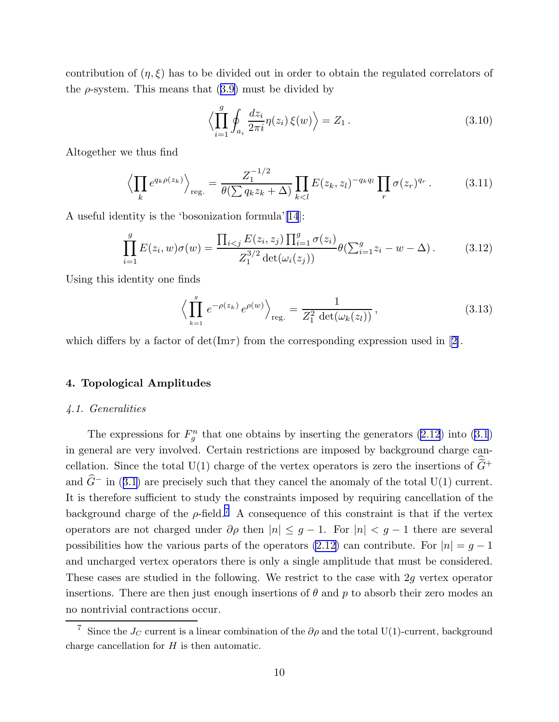<span id="page-10-0"></span>contribution of  $(\eta, \xi)$  has to be divided out in order to obtain the regulated correlators of the  $\rho$ -system. This means that  $(3.9)$  $(3.9)$  must be divided by

$$
\left\langle \prod_{i=1}^{g} \oint_{a_i} \frac{dz_i}{2\pi i} \eta(z_i) \xi(w) \right\rangle = Z_1.
$$
\n(3.10)

Altogether we thus find

$$
\left\langle \prod_{k} e^{q_{k}\rho(z_{k})} \right\rangle_{\text{reg.}} = \frac{Z_{1}^{-1/2}}{\theta(\sum q_{k}z_{k} + \Delta)} \prod_{k < l} E(z_{k}, z_{l})^{-q_{k}q_{l}} \prod_{r} \sigma(z_{r})^{q_{r}}.
$$
 (3.11)

A useful identity is the 'bosonization formula'[\[14](#page-16-0)]:

$$
\prod_{i=1}^{g} E(z_i, w)\sigma(w) = \frac{\prod_{i < j} E(z_i, z_j) \prod_{i=1}^{g} \sigma(z_i)}{Z_1^{3/2} \det(\omega_i(z_j))} \theta(\sum_{i=1}^{g} z_i - w - \Delta). \tag{3.12}
$$

Using this identity one finds

$$
\left\langle \prod_{k=1}^{g} e^{-\rho(z_k)} e^{\rho(w)} \right\rangle_{\text{reg.}} = \frac{1}{Z_1^2 \det(\omega_k(z_l))},\tag{3.13}
$$

whichdiffers by a factor of  $\det(\mathrm{Im}\tau)$  from the corresponding expression used in [[2\]](#page-16-0).

#### 4. Topological Amplitudes

#### 4.1. Generalities

The expressions for  $F_g^n$  that one obtains by inserting the generators [\(2.12](#page-4-0)) into [\(3.1](#page-7-0)) in general are very involved. Certain restrictions are imposed by background charge cancellation. Since the total U(1) charge of the vertex operators is zero the insertions of  $\tilde{\tilde{G}}$ + and  $\hat{G}$ <sup>−</sup> in ([3.1\)](#page-7-0) are precisely such that they cancel the anomaly of the total U(1) current. It is therefore sufficient to study the constraints imposed by requiring cancellation of the background charge of the  $\rho$ -field.<sup>7</sup> A consequence of this constraint is that if the vertex operators are not charged under  $\partial \rho$  then  $|n| \leq g - 1$ . For  $|n| < g - 1$  there are several possibilities how the various parts of the operators [\(2.12\)](#page-4-0) can contribute. For  $|n| = g - 1$ and uncharged vertex operators there is only a single amplitude that must be considered. These cases are studied in the following. We restrict to the case with 2g vertex operator insertions. There are then just enough insertions of  $\theta$  and p to absorb their zero modes an no nontrivial contractions occur.

<sup>&</sup>lt;sup>7</sup> Since the  $J_C$  current is a linear combination of the  $\partial \rho$  and the total U(1)-current, background charge cancellation for  $H$  is then automatic.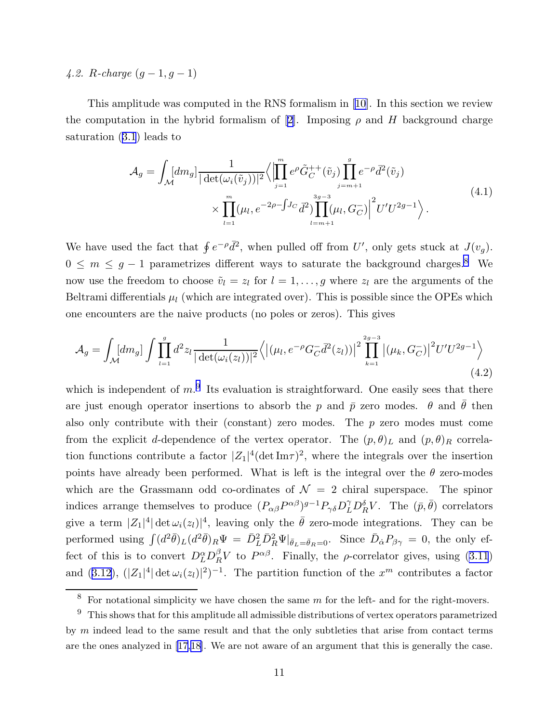# <span id="page-11-0"></span>4.2. R-charge  $(g-1, g-1)$

This amplitude was computed in the RNS formalism in [\[10](#page-16-0)]. In this section we review the computation in the hybrid formalism of [\[2](#page-16-0)]. Imposing  $\rho$  and H background charge saturation ([3.1](#page-7-0)) leads to

$$
\mathcal{A}_{g} = \int_{\mathcal{M}} [dm_{g}] \frac{1}{|\det(\omega_{i}(\tilde{v}_{j}))|^{2}} \langle \left| \prod_{j=1}^{m} e^{\rho} \tilde{G}_{C}^{++}(\tilde{v}_{j}) \prod_{j=m+1}^{g} e^{-\rho} \bar{d}^{2}(\tilde{v}_{j}) \right|
$$
\n
$$
\times \prod_{l=1}^{m} (\mu_{l}, e^{-2\rho - \int J_{C} \bar{d}^{2}) \prod_{l=m+1}^{3g-3} (\mu_{l}, G_{C}^{-}) \Big|^{2} U' U^{2g-1} \rangle.
$$
\n(4.1)

We have used the fact that  $\oint e^{-\rho} \bar{d}^2$ , when pulled off from U', only gets stuck at  $J(v_g)$ .  $0 \leq m \leq g-1$  parametrizes different ways to saturate the background charges.<sup>8</sup> We now use the freedom to choose  $\tilde{v}_l = z_l$  for  $l = 1, \ldots, g$  where  $z_l$  are the arguments of the Beltrami differentials  $\mu_l$  (which are integrated over). This is possible since the OPEs which one encounters are the naive products (no poles or zeros). This gives

$$
\mathcal{A}_{g} = \int_{\mathcal{M}} [dm_{g}] \int \prod_{l=1}^{g} d^{2}z_{l} \frac{1}{|\det(\omega_{i}(z_{l}))|^{2}} \left\langle \left| (\mu_{l}, e^{-\rho} G_{C}^{-} \bar{d}^{2}(z_{l})) \right|^{2} \prod_{k=1}^{2g-3} \left| (\mu_{k}, G_{C}^{-}) \right|^{2} U' U^{2g-1} \right\rangle \tag{4.2}
$$

which is independent of  $m$ <sup>9</sup>. Its evaluation is straightforward. One easily sees that there are just enough operator insertions to absorb the p and  $\bar{p}$  zero modes.  $\theta$  and  $\bar{\theta}$  then also only contribute with their (constant) zero modes. The  $p$  zero modes must come from the explicit d-dependence of the vertex operator. The  $(p, \theta)$ <sub>L</sub> and  $(p, \theta)$ <sub>R</sub> correlation functions contribute a factor  $|Z_1|^4 (\text{det Im}\tau)^2$ , where the integrals over the insertion points have already been performed. What is left is the integral over the  $\theta$  zero-modes which are the Grassmann odd co-ordinates of  $\mathcal{N} = 2$  chiral superspace. The spinor indices arrange themselves to produce  $(P_{\alpha\beta}P^{\alpha\beta})^{g-1}P_{\gamma\delta}D_{L}^{\gamma}D_{R}^{\delta}V$ . The  $(\bar{p}, \bar{\theta})$  correlators give a term  $|Z_1|^4 |\det \omega_i(z_i)|^4$ , leaving only the  $\bar{\theta}$  zero-mode integrations. They can be performed using  $\int (d^2 \bar{\theta})_L (d^2 \bar{\theta})_R \Psi = \bar{D}_L^2 \bar{D}_R^2 \Psi |_{\bar{\theta}_L = \bar{\theta}_R = 0}$ . Since  $\bar{D}_{\dot{\alpha}} P_{\beta \gamma} = 0$ , the only effect of this is to convert  $D_L^{\alpha} D_R^{\beta} V$  to  $P^{\alpha\beta}$ . Finally, the *ρ*-correlator gives, using [\(3.11](#page-10-0)) and ([3.12](#page-10-0)),  $(|Z_1|^4 |\det \omega_i(z_i)|^2)^{-1}$ . The partition function of the  $x^m$  contributes a factor

 $\overline{\text{8}$  For notational simplicity we have chosen the same m for the left- and for the right-movers.

 $9$  This shows that for this amplitude all admissible distributions of vertex operators parametrized by  $m$  indeed lead to the same result and that the only subtleties that arise from contact terms are the ones analyzed in[[17,18](#page-17-0)]. We are not aware of an argument that this is generally the case.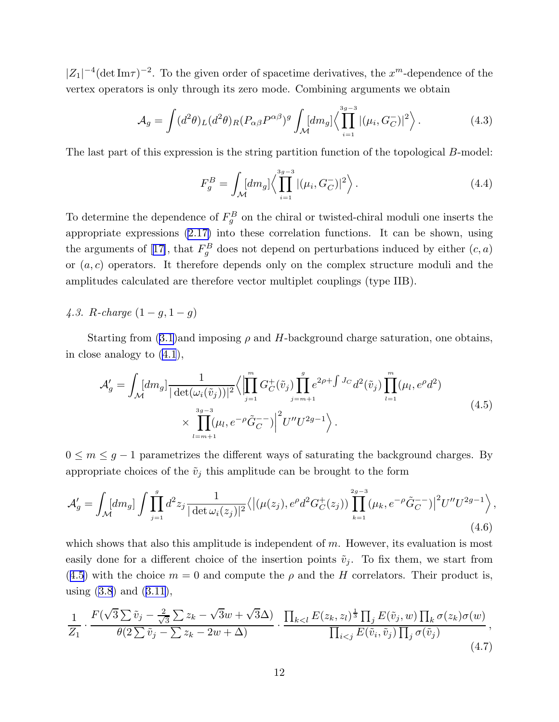<span id="page-12-0"></span> $|Z_1|^{-4}$ (det Im $\tau$ )<sup>-2</sup>. To the given order of spacetime derivatives, the  $x^m$ -dependence of the vertex operators is only through its zero mode. Combining arguments we obtain

$$
\mathcal{A}_g = \int (d^2 \theta)_L (d^2 \theta)_R (P_{\alpha \beta} P^{\alpha \beta})^g \int_M [dm_g] \langle \prod_{i=1}^{3g-3} |(\mu_i, G_C^-)|^2 \rangle.
$$
 (4.3)

The last part of this expression is the string partition function of the topological B-model:

$$
F_g^B = \int_{\mathcal{M}} [dm_g] \langle \prod_{i=1}^{3g-3} |(\mu_i, G_C^-)|^2 \rangle.
$$
 (4.4)

To determine the dependence of  $F_g^B$  on the chiral or twisted-chiral moduli one inserts the appropriate expressions [\(2.17\)](#page-6-0) into these correlation functions. It can be shown, using thearguments of [[17\]](#page-17-0), that  $F_g^B$  does not depend on perturbations induced by either  $(c, a)$ or  $(a, c)$  operators. It therefore depends only on the complex structure moduli and the amplitudes calculated are therefore vector multiplet couplings (type IIB).

## 4.3. R-charge  $(1-g, 1-g)$

Starting from ([3.1](#page-7-0))and imposing  $\rho$  and H-background charge saturation, one obtains, in close analogy to [\(4.1](#page-11-0)),

$$
\mathcal{A}'_g = \int_{\mathcal{M}} [dm_g] \frac{1}{|\det(\omega_i(\tilde{v}_j))|^2} \langle \left| \prod_{j=1}^m G_C^+(\tilde{v}_j) \prod_{j=m+1}^g e^{2\rho + \int J_C} d^2(\tilde{v}_j) \prod_{l=1}^m (\mu_l, e^{\rho} d^2) \right|
$$
  
 
$$
\times \prod_{l=m+1}^{3g-3} (\mu_l, e^{-\rho} \tilde{G}_C^{-}) \left| \int J'' U'' U^{2g-1} \right\rangle.
$$
 (4.5)

 $0 \leq m \leq g-1$  parametrizes the different ways of saturating the background charges. By appropriate choices of the  $\tilde{v}_j$  this amplitude can be brought to the form

$$
\mathcal{A}'_g = \int_{\mathcal{M}} [dm_g] \int \prod_{j=1}^g d^2 z_j \frac{1}{|\det \omega_i(z_j)|^2} \langle |(\mu(z_j), e^{\rho} d^2 G_C^+(z_j)) \prod_{k=1}^{2g-3} (\mu_k, e^{-\rho} \tilde{G}_C^{-})|^2 U'' U^{2g-1} \rangle, \tag{4.6}
$$

which shows that also this amplitude is independent of  $m$ . However, its evaluation is most easily done for a different choice of the insertion points  $\tilde{v}_j$ . To fix them, we start from (4.5) with the choice  $m = 0$  and compute the  $\rho$  and the H correlators. Their product is, using  $(3.8)$  $(3.8)$  $(3.8)$  and  $(3.11)$  $(3.11)$  $(3.11)$ ,

$$
\frac{1}{Z_1} \cdot \frac{F(\sqrt{3}\sum \tilde{v}_j - \frac{2}{\sqrt{3}}\sum z_k - \sqrt{3}w + \sqrt{3}\Delta)}{\theta(2\sum \tilde{v}_j - \sum z_k - 2w + \Delta)} \cdot \frac{\prod_{k
$$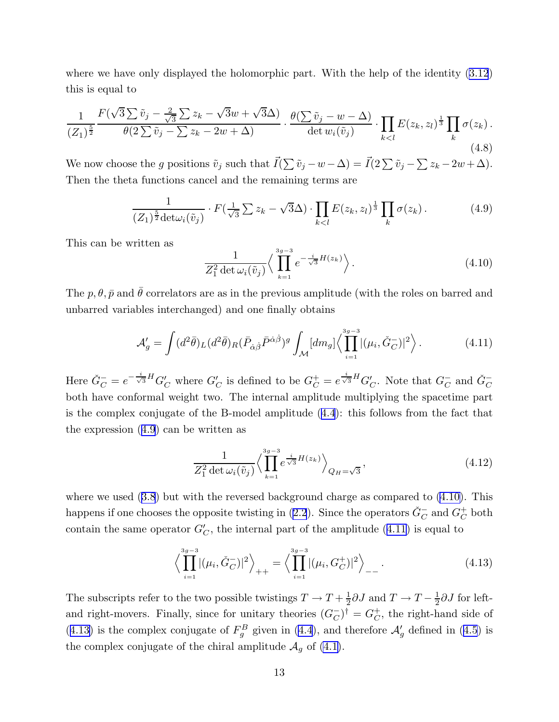where we have only displayed the holomorphic part. With the help of the identity [\(3.12](#page-10-0)) this is equal to

$$
\frac{1}{(Z_1)^{\frac{5}{2}}} \frac{F(\sqrt{3}\sum \tilde{v}_j - \frac{2}{\sqrt{3}}\sum z_k - \sqrt{3}w + \sqrt{3}\Delta)}{\theta(2\sum \tilde{v}_j - \sum z_k - 2w + \Delta)} \cdot \frac{\theta(\sum \tilde{v}_j - w - \Delta)}{\det w_i(\tilde{v}_j)} \cdot \prod_{k\n(4.8)
$$

We now choose the g positions  $\tilde{v}_j$  such that  $\vec{I}(\sum \tilde{v}_j - w - \Delta) = \vec{I}(2\sum \tilde{v}_j - \sum z_k - 2w + \Delta)$ . Then the theta functions cancel and the remaining terms are

$$
\frac{1}{(Z_1)^{\frac{5}{2}} \det \omega_i(\tilde{v}_j)} \cdot F(\frac{1}{\sqrt{3}} \sum z_k - \sqrt{3} \Delta) \cdot \prod_{k < l} E(z_k, z_l)^{\frac{1}{3}} \prod_k \sigma(z_k). \tag{4.9}
$$

This can be written as

$$
\frac{1}{Z_1^2 \det \omega_i(\tilde{v}_j)} \left\langle \prod_{k=1}^{3g-3} e^{-\frac{i}{\sqrt{3}}H(z_k)} \right\rangle.
$$
 (4.10)

The  $p, \theta, \bar{p}$  and  $\bar{\theta}$  correlators are as in the previous amplitude (with the roles on barred and unbarred variables interchanged) and one finally obtains

$$
\mathcal{A}'_g = \int (d^2 \bar{\theta})_L (d^2 \bar{\theta})_R (\bar{P}_{\dot{\alpha}\dot{\beta}} \bar{P}^{\dot{\alpha}\dot{\beta}})^g \int_{\mathcal{M}} [dm_g] \Big\langle \prod_{i=1}^{3g-3} |(\mu_i, \check{G}_C^-)|^2 \Big\rangle \,. \tag{4.11}
$$

Here  $\check{G}_C^- = e^{-\frac{i}{\sqrt{3}}H} G_C'$  where  $G_C'$  is defined to be  $G_C^+ = e^{\frac{i}{\sqrt{3}}H} G_C'$ . Note that  $G_C^-$  and  $\check{G}_C^$ both have conformal weight two. The internal amplitude multiplying the spacetime part is the complex conjugate of the B-model amplitude ([4.4](#page-12-0)): this follows from the fact that the expression (4.9) can be written as

$$
\frac{1}{Z_1^2 \det \omega_i(\tilde{v}_j)} \left\langle \prod_{k=1}^{3g-3} e^{\frac{i}{\sqrt{3}}H(z_k)} \right\rangle_{Q_H = \sqrt{3}},\tag{4.12}
$$

where we used  $(3.8)$  $(3.8)$  $(3.8)$  but with the reversed background charge as compared to  $(4.10)$ . This happens if one chooses the opposite twisting in ([2.2](#page-3-0)). Since the operators  $\check G_C^-$  and  $G_C^+$  $_C^+$  both contain the same operator  $G_C'$ , the internal part of the amplitude (4.11) is equal to

$$
\left\langle \prod_{i=1}^{3g-3} |(\mu_i, \check{G}_C^-)|^2 \right\rangle_{++} = \left\langle \prod_{i=1}^{3g-3} |(\mu_i, G_C^+)|^2 \right\rangle_{--}.
$$
\n(4.13)

The subscripts refer to the two possible twistings  $T \to T + \frac{1}{2}$  $\frac{1}{2}\partial J$  and  $T \to T - \frac{1}{2}$  $\frac{1}{2}\partial J$  for leftand right-movers. Finally, since for unitary theories  $(G_C^-)^{\dagger} = G_C^+$  $_C^+$ , the right-hand side of (4.13) is the complex conjugate of  $F_g^B$  given in ([4.4](#page-12-0)), and therefore  $\mathcal{A}'_g$  defined in ([4.5](#page-12-0)) is the complex conjugate of the chiral amplitude  $\mathcal{A}_q$  of [\(4.1\)](#page-11-0).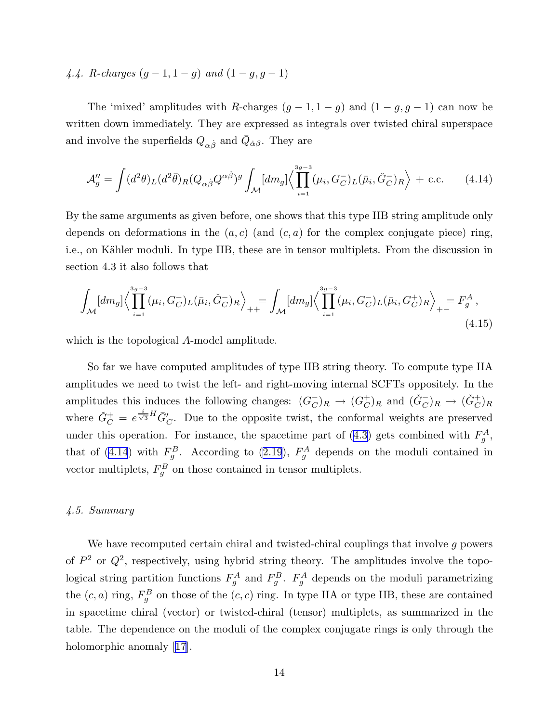# <span id="page-14-0"></span>4.4. R-charges  $(g-1, 1-g)$  and  $(1-g, g-1)$

The 'mixed' amplitudes with R-charges  $(g-1, 1-g)$  and  $(1-g, g-1)$  can now be written down immediately. They are expressed as integrals over twisted chiral superspace and involve the superfields  $Q_{\alpha\dot{\beta}}$  and  $\bar{Q}_{\dot{\alpha}\beta}$ . They are

$$
\mathcal{A}_{g}^{"} = \int (d^2\theta)_L (d^2\bar{\theta})_R (Q_{\alpha\dot{\beta}} Q^{\alpha\dot{\beta}})^g \int_{\mathcal{M}} [dm_g] \Big\langle \prod_{i=1}^{3g-3} (\mu_i, G_C^-)_L (\bar{\mu}_i, \check{G}_C^-)_R \Big\rangle + \text{c.c.} \tag{4.14}
$$

By the same arguments as given before, one shows that this type IIB string amplitude only depends on deformations in the  $(a, c)$  (and  $(c, a)$  for the complex conjugate piece) ring, i.e., on Kähler moduli. In type IIB, these are in tensor multiplets. From the discussion in section 4.3 it also follows that

$$
\int_{\mathcal{M}} [dm_g] \Big\langle \prod_{i=1}^{3g-3} (\mu_i, G_C^-)_L(\bar{\mu}_i, \check{G}_C^-)_R \Big\rangle_{++} = \int_{\mathcal{M}} [dm_g] \Big\langle \prod_{i=1}^{3g-3} (\mu_i, G_C^-)_L(\bar{\mu}_i, G_C^+)_R \Big\rangle_{+-} = F_g^A \,,
$$
\n(4.15)

which is the topological A-model amplitude.

So far we have computed amplitudes of type IIB string theory. To compute type IIA amplitudes we need to twist the left- and right-moving internal SCFTs oppositely. In the amplitudes this induces the following changes:  $(G_C^-)_R \to (G_C^+)_R$  $(C_C^+)_R$  and  $(\check{G}_C^-)_R \to (\check{G}_C^+)_R$ where  $\check{G}_C^+ = e^{\frac{i}{\sqrt{3}}H} \bar{G}'_C$ . Due to the opposite twist, the conformal weights are preserved under this operation. For instance, the spacetime part of  $(4.3)$  gets combined with  $F_g^A$ , that of (4.14) with  $F_g^B$ . According to ([2.19](#page-7-0)),  $F_g^A$  depends on the moduli contained in vector multiplets,  $F_g^B$  on those contained in tensor multiplets.

#### 4.5. Summary

We have recomputed certain chiral and twisted-chiral couplings that involve g powers of  $P^2$  or  $Q^2$ , respectively, using hybrid string theory. The amplitudes involve the topological string partition functions  $F_g^A$  and  $F_g^B$ .  $F_g^A$  depends on the moduli parametrizing the  $(c, a)$  ring,  $F_g^B$  on those of the  $(c, c)$  ring. In type IIA or type IIB, these are contained in spacetime chiral (vector) or twisted-chiral (tensor) multiplets, as summarized in the table. The dependence on the moduli of the complex conjugate rings is only through the holomorphicanomaly [[17](#page-17-0)].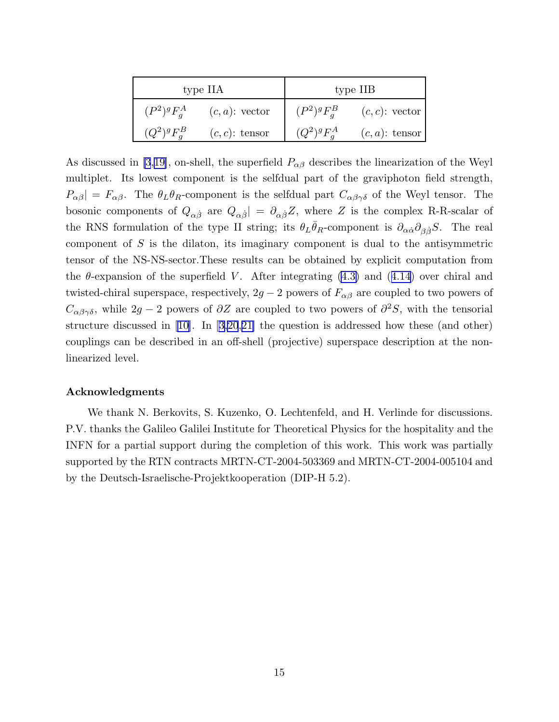| type IIA        |                   | type IIB        |                   |
|-----------------|-------------------|-----------------|-------------------|
| $(P^2)^g F_a^A$ | $(c, a)$ : vector | $(P^2)^g F^B_a$ | $(c, c)$ : vector |
| $(Q^2)^g F^B_a$ | $(c, c)$ : tensor | $(Q^2)^g F^A_a$ | $(c, a)$ : tensor |

As discussed in [\[3](#page-16-0),[19\]](#page-17-0), on-shell, the superfield  $P_{\alpha\beta}$  describes the linearization of the Weyl multiplet. Its lowest component is the selfdual part of the graviphoton field strength,  $P_{\alpha\beta}| = F_{\alpha\beta}$ . The  $\theta_L \theta_R$ -component is the selfdual part  $C_{\alpha\beta\gamma\delta}$  of the Weyl tensor. The bosonic components of  $Q_{\alpha\dot{\beta}}$  are  $Q_{\alpha\dot{\beta}}| = \partial_{\alpha\dot{\beta}}Z$ , where Z is the complex R-R-scalar of the RNS formulation of the type II string; its  $\theta_L \bar{\theta}_R$ -component is  $\partial_{\alpha\dot{\alpha}} \partial_{\beta\dot{\beta}} S$ . The real component of S is the dilaton, its imaginary component is dual to the antisymmetric tensor of the NS-NS-sector.These results can be obtained by explicit computation from the  $\theta$ -expansion of the superfield V. After integrating  $(4.3)$  and  $(4.14)$  $(4.14)$  over chiral and twisted-chiral superspace, respectively,  $2g - 2$  powers of  $F_{\alpha\beta}$  are coupled to two powers of  $C_{\alpha\beta\gamma\delta}$ , while  $2g-2$  powers of  $\partial Z$  are coupled to two powers of  $\partial^2 S$ , with the tensorial structure discussed in[[10\]](#page-16-0). In[[3](#page-16-0)[,20](#page-17-0),[21\]](#page-17-0) the question is addressed how these (and other) couplings can be described in an off-shell (projective) superspace description at the nonlinearized level.

#### Acknowledgments

We thank N. Berkovits, S. Kuzenko, O. Lechtenfeld, and H. Verlinde for discussions. P.V. thanks the Galileo Galilei Institute for Theoretical Physics for the hospitality and the INFN for a partial support during the completion of this work. This work was partially supported by the RTN contracts MRTN-CT-2004-503369 and MRTN-CT-2004-005104 and by the Deutsch-Israelische-Projektkooperation (DIP-H 5.2).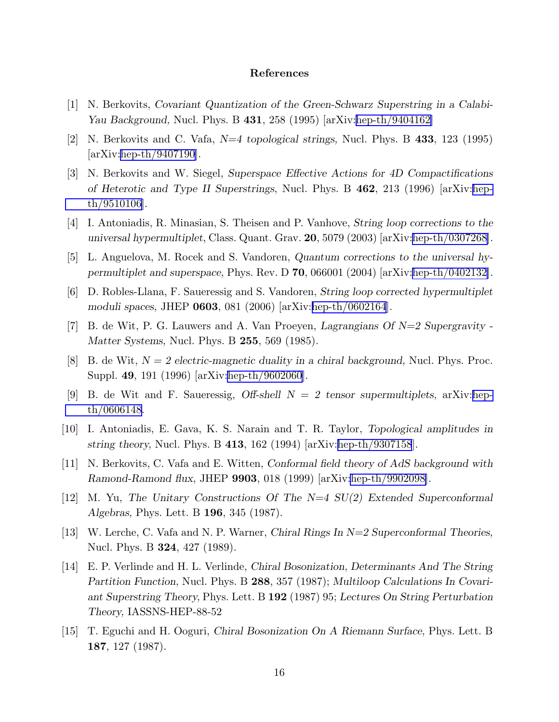#### References

- <span id="page-16-0"></span>[1] N. Berkovits, Covariant Quantization of the Green-Schwarz Superstring in a Calabi-Yau Background, Nucl. Phys. B 431, 258 (1995) [arXiv:[hep-th/9404162\]](http://arxiv.org/abs/hep-th/9404162)
- [2] N. Berkovits and C. Vafa, N=4 topological strings, Nucl. Phys. B 433, 123 (1995) [arXiv:[hep-th/9407190\]](http://arxiv.org/abs/hep-th/9407190).
- [3] N. Berkovits and W. Siegel, Superspace Effective Actions for 4D Compactifications of Heterotic and Type II Superstrings, Nucl. Phys. B 462, 213 (1996) [arXiv:[hep](http://arxiv.org/abs/hep-th/9510106)[th/9510106](http://arxiv.org/abs/hep-th/9510106)].
- [4] I. Antoniadis, R. Minasian, S. Theisen and P. Vanhove, String loop corrections to the universal hypermultiplet, Class. Quant. Grav. 20, 5079 (2003) [arXiv:[hep-th/0307268\]](http://arxiv.org/abs/hep-th/0307268).
- [5] L. Anguelova, M. Rocek and S. Vandoren, Quantum corrections to the universal hypermultiplet and superspace, Phys. Rev. D 70, 066001 (2004) [arXiv:[hep-th/0402132\]](http://arxiv.org/abs/hep-th/0402132).
- [6] D. Robles-Llana, F. Saueressig and S. Vandoren, String loop corrected hypermultiplet moduli spaces, JHEP 0603, 081 (2006) [arXiv:[hep-th/0602164](http://arxiv.org/abs/hep-th/0602164)].
- [7] B. de Wit, P. G. Lauwers and A. Van Proeyen, Lagrangians Of  $N=2$  Supergravity -Matter Systems, Nucl. Phys. B 255, 569 (1985).
- [8] B. de Wit,  $N = 2$  electric-magnetic duality in a chiral background, Nucl. Phys. Proc. Suppl. 49, 191 (1996) [arXiv[:hep-th/9602060](http://arxiv.org/abs/hep-th/9602060)].
- [9] B. de Wit and F. Saueressig, Off-shell  $N = 2$  tensor supermultiplets, arXiv:[hep](http://arxiv.org/abs/hep-th/0606148)[th/0606148](http://arxiv.org/abs/hep-th/0606148).
- [10] I. Antoniadis, E. Gava, K. S. Narain and T. R. Taylor, Topological amplitudes in string theory, Nucl. Phys. B  $413$ , 162 (1994) [arXiv:[hep-th/9307158](http://arxiv.org/abs/hep-th/9307158)].
- [11] N. Berkovits, C. Vafa and E. Witten, Conformal field theory of AdS background with Ramond-Ramond flux, JHEP 9903, 018 (1999) [arXiv[:hep-th/9902098\]](http://arxiv.org/abs/hep-th/9902098).
- [12] M. Yu, The Unitary Constructions Of The N=4 SU(2) Extended Superconformal Algebras, Phys. Lett. B 196, 345 (1987).
- [13] W. Lerche, C. Vafa and N. P. Warner, Chiral Rings In N=2 Superconformal Theories, Nucl. Phys. B 324, 427 (1989).
- [14] E. P. Verlinde and H. L. Verlinde, Chiral Bosonization, Determinants And The String Partition Function, Nucl. Phys. B 288, 357 (1987); Multiloop Calculations In Covariant Superstring Theory, Phys. Lett. B 192 (1987) 95; Lectures On String Perturbation Theory, IASSNS-HEP-88-52
- [15] T. Eguchi and H. Ooguri, Chiral Bosonization On A Riemann Surface, Phys. Lett. B 187, 127 (1987).